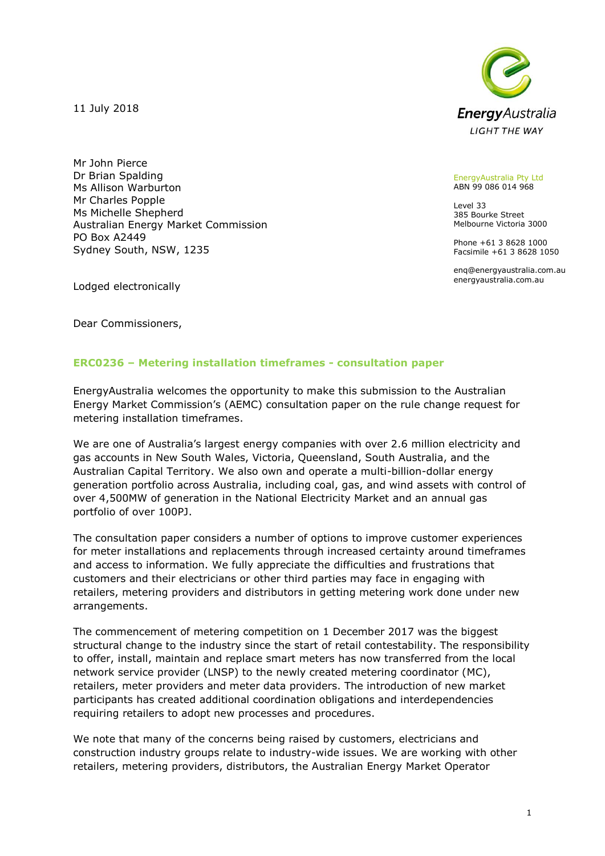11 July 2018





EnergyAustralia Pty Ltd ABN 99 086 014 968

Level 33 385 Bourke Street Melbourne Victoria 3000

Phone +61 3 8628 1000 Facsimile +61 3 8628 1050

enq@energyaustralia.com.au energyaustralia.com.au

Lodged electronically

Dear Commissioners,

## **ERC0236 – Metering installation timeframes - consultation paper**

EnergyAustralia welcomes the opportunity to make this submission to the Australian Energy Market Commission's (AEMC) consultation paper on the rule change request for metering installation timeframes.

We are one of Australia's largest energy companies with over 2.6 million electricity and gas accounts in New South Wales, Victoria, Queensland, South Australia, and the Australian Capital Territory. We also own and operate a multi-billion-dollar energy generation portfolio across Australia, including coal, gas, and wind assets with control of over 4,500MW of generation in the National Electricity Market and an annual gas portfolio of over 100PJ.

The consultation paper considers a number of options to improve customer experiences for meter installations and replacements through increased certainty around timeframes and access to information. We fully appreciate the difficulties and frustrations that customers and their electricians or other third parties may face in engaging with retailers, metering providers and distributors in getting metering work done under new arrangements.

The commencement of metering competition on 1 December 2017 was the biggest structural change to the industry since the start of retail contestability. The responsibility to offer, install, maintain and replace smart meters has now transferred from the local network service provider (LNSP) to the newly created metering coordinator (MC), retailers, meter providers and meter data providers. The introduction of new market participants has created additional coordination obligations and interdependencies requiring retailers to adopt new processes and procedures.

We note that many of the concerns being raised by customers, electricians and construction industry groups relate to industry-wide issues. We are working with other retailers, metering providers, distributors, the Australian Energy Market Operator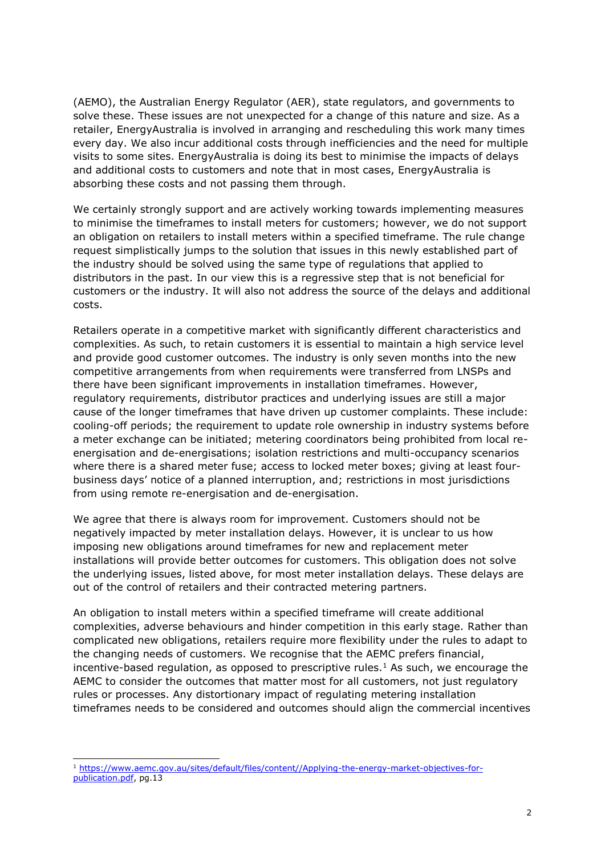(AEMO), the Australian Energy Regulator (AER), state regulators, and governments to solve these. These issues are not unexpected for a change of this nature and size. As a retailer, EnergyAustralia is involved in arranging and rescheduling this work many times every day. We also incur additional costs through inefficiencies and the need for multiple visits to some sites. EnergyAustralia is doing its best to minimise the impacts of delays and additional costs to customers and note that in most cases, EnergyAustralia is absorbing these costs and not passing them through.

We certainly strongly support and are actively working towards implementing measures to minimise the timeframes to install meters for customers; however, we do not support an obligation on retailers to install meters within a specified timeframe. The rule change request simplistically jumps to the solution that issues in this newly established part of the industry should be solved using the same type of regulations that applied to distributors in the past. In our view this is a regressive step that is not beneficial for customers or the industry. It will also not address the source of the delays and additional costs.

Retailers operate in a competitive market with significantly different characteristics and complexities. As such, to retain customers it is essential to maintain a high service level and provide good customer outcomes. The industry is only seven months into the new competitive arrangements from when requirements were transferred from LNSPs and there have been significant improvements in installation timeframes. However, regulatory requirements, distributor practices and underlying issues are still a major cause of the longer timeframes that have driven up customer complaints. These include: cooling-off periods; the requirement to update role ownership in industry systems before a meter exchange can be initiated; metering coordinators being prohibited from local reenergisation and de-energisations; isolation restrictions and multi-occupancy scenarios where there is a shared meter fuse; access to locked meter boxes; giving at least fourbusiness days' notice of a planned interruption, and; restrictions in most jurisdictions from using remote re-energisation and de-energisation.

We agree that there is always room for improvement. Customers should not be negatively impacted by meter installation delays. However, it is unclear to us how imposing new obligations around timeframes for new and replacement meter installations will provide better outcomes for customers. This obligation does not solve the underlying issues, listed above, for most meter installation delays. These delays are out of the control of retailers and their contracted metering partners.

An obligation to install meters within a specified timeframe will create additional complexities, adverse behaviours and hinder competition in this early stage. Rather than complicated new obligations, retailers require more flexibility under the rules to adapt to the changing needs of customers. We recognise that the AEMC prefers financial, incentive-based regulation, as opposed to prescriptive rules.<sup>1</sup> As such, we encourage the AEMC to consider the outcomes that matter most for all customers, not just regulatory rules or processes. Any distortionary impact of regulating metering installation timeframes needs to be considered and outcomes should align the commercial incentives

-

<sup>1</sup> [https://www.aemc.gov.au/sites/default/files/content//Applying-the-energy-market-objectives-for](https://www.aemc.gov.au/sites/default/files/content/Applying-the-energy-market-objectives-for-publication.pdf)[publication.pdf,](https://www.aemc.gov.au/sites/default/files/content/Applying-the-energy-market-objectives-for-publication.pdf) pg.13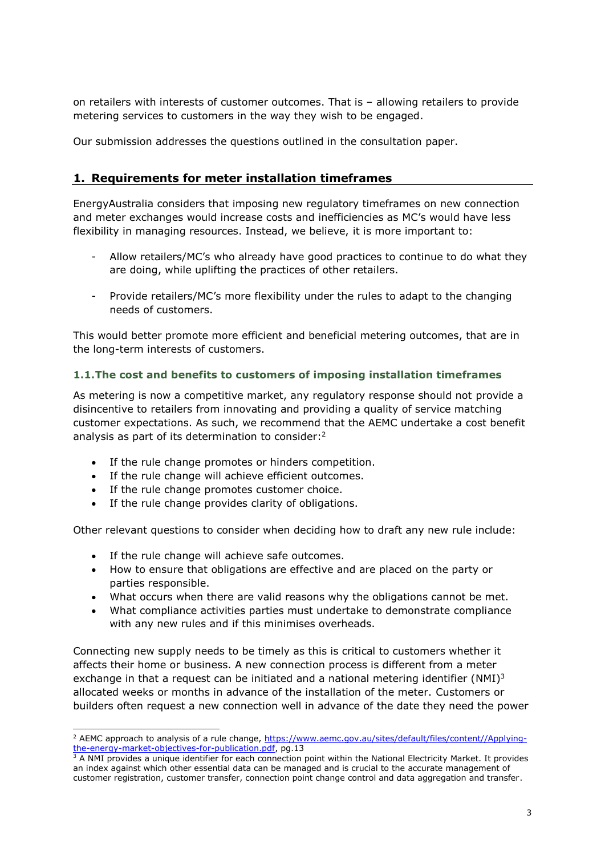on retailers with interests of customer outcomes. That is – allowing retailers to provide metering services to customers in the way they wish to be engaged.

Our submission addresses the questions outlined in the consultation paper.

# **1. Requirements for meter installation timeframes**

EnergyAustralia considers that imposing new regulatory timeframes on new connection and meter exchanges would increase costs and inefficiencies as MC's would have less flexibility in managing resources. Instead, we believe, it is more important to:

- Allow retailers/MC's who already have good practices to continue to do what they are doing, while uplifting the practices of other retailers.
- Provide retailers/MC's more flexibility under the rules to adapt to the changing needs of customers.

This would better promote more efficient and beneficial metering outcomes, that are in the long-term interests of customers.

## **1.1.The cost and benefits to customers of imposing installation timeframes**

As metering is now a competitive market, any regulatory response should not provide a disincentive to retailers from innovating and providing a quality of service matching customer expectations. As such, we recommend that the AEMC undertake a cost benefit analysis as part of its determination to consider: 2

- If the rule change promotes or hinders competition.
- If the rule change will achieve efficient outcomes.
- If the rule change promotes customer choice.
- If the rule change provides clarity of obligations.

Other relevant questions to consider when deciding how to draft any new rule include:

• If the rule change will achieve safe outcomes.

-

- How to ensure that obligations are effective and are placed on the party or parties responsible.
- What occurs when there are valid reasons why the obligations cannot be met.
- What compliance activities parties must undertake to demonstrate compliance with any new rules and if this minimises overheads.

Connecting new supply needs to be timely as this is critical to customers whether it affects their home or business. A new connection process is different from a meter exchange in that a request can be initiated and a national metering identifier (NMI)<sup>3</sup> allocated weeks or months in advance of the installation of the meter. Customers or builders often request a new connection well in advance of the date they need the power

<sup>&</sup>lt;sup>2</sup> AEMC approach to analysis of a rule change, [https://www.aemc.gov.au/sites/default/files/content//Applying](https://www.aemc.gov.au/sites/default/files/content/Applying-the-energy-market-objectives-for-publication.pdf)[the-energy-market-objectives-for-publication.pdf,](https://www.aemc.gov.au/sites/default/files/content/Applying-the-energy-market-objectives-for-publication.pdf) pg.13

 $3$  A NMI provides a unique identifier for each connection point within the National Electricity Market. It provides an index against which other essential data can be managed and is crucial to the accurate management of customer registration, customer transfer, connection point change control and data aggregation and transfer.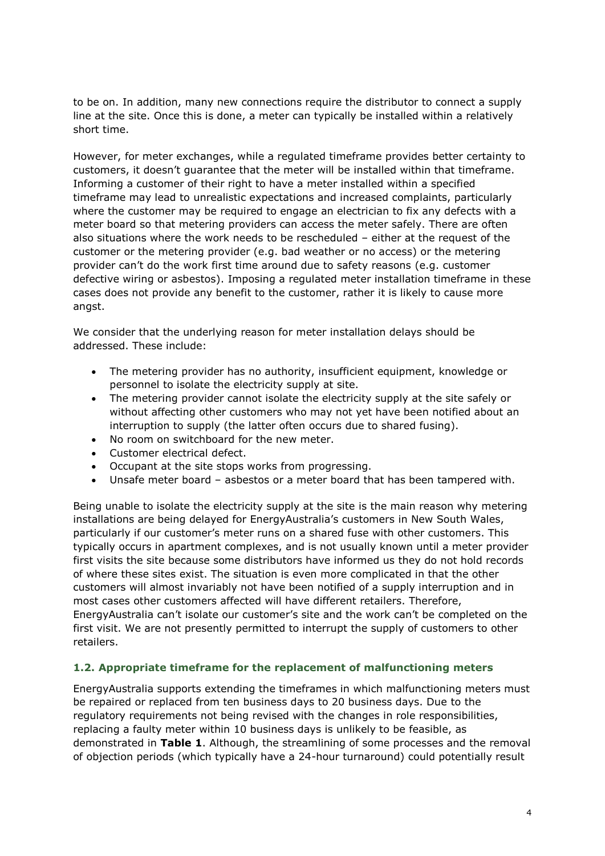to be on. In addition, many new connections require the distributor to connect a supply line at the site. Once this is done, a meter can typically be installed within a relatively short time.

However, for meter exchanges, while a regulated timeframe provides better certainty to customers, it doesn't guarantee that the meter will be installed within that timeframe. Informing a customer of their right to have a meter installed within a specified timeframe may lead to unrealistic expectations and increased complaints, particularly where the customer may be required to engage an electrician to fix any defects with a meter board so that metering providers can access the meter safely. There are often also situations where the work needs to be rescheduled – either at the request of the customer or the metering provider (e.g. bad weather or no access) or the metering provider can't do the work first time around due to safety reasons (e.g. customer defective wiring or asbestos). Imposing a regulated meter installation timeframe in these cases does not provide any benefit to the customer, rather it is likely to cause more angst.

We consider that the underlying reason for meter installation delays should be addressed. These include:

- The metering provider has no authority, insufficient equipment, knowledge or personnel to isolate the electricity supply at site.
- The metering provider cannot isolate the electricity supply at the site safely or without affecting other customers who may not yet have been notified about an interruption to supply (the latter often occurs due to shared fusing).
- No room on switchboard for the new meter.
- Customer electrical defect.
- Occupant at the site stops works from progressing.
- Unsafe meter board asbestos or a meter board that has been tampered with.

Being unable to isolate the electricity supply at the site is the main reason why metering installations are being delayed for EnergyAustralia's customers in New South Wales, particularly if our customer's meter runs on a shared fuse with other customers. This typically occurs in apartment complexes, and is not usually known until a meter provider first visits the site because some distributors have informed us they do not hold records of where these sites exist. The situation is even more complicated in that the other customers will almost invariably not have been notified of a supply interruption and in most cases other customers affected will have different retailers. Therefore, EnergyAustralia can't isolate our customer's site and the work can't be completed on the first visit. We are not presently permitted to interrupt the supply of customers to other retailers.

## **1.2. Appropriate timeframe for the replacement of malfunctioning meters**

EnergyAustralia supports extending the timeframes in which malfunctioning meters must be repaired or replaced from ten business days to 20 business days. Due to the regulatory requirements not being revised with the changes in role responsibilities, replacing a faulty meter within 10 business days is unlikely to be feasible, as demonstrated in **Table 1**. Although, the streamlining of some processes and the removal of objection periods (which typically have a 24-hour turnaround) could potentially result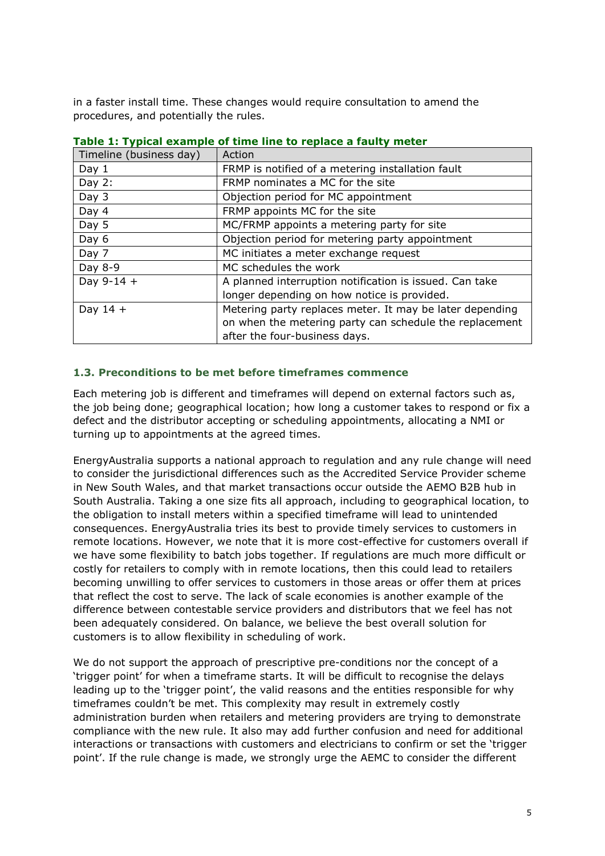in a faster install time. These changes would require consultation to amend the procedures, and potentially the rules.

| Timeline (business day) | Action                                                   |
|-------------------------|----------------------------------------------------------|
| Day $1$                 | FRMP is notified of a metering installation fault        |
| Day $2:$                | FRMP nominates a MC for the site                         |
| Day 3                   | Objection period for MC appointment                      |
| Day 4                   | FRMP appoints MC for the site                            |
| Day 5                   | MC/FRMP appoints a metering party for site               |
| Day 6                   | Objection period for metering party appointment          |
| Day 7                   | MC initiates a meter exchange request                    |
| Day 8-9                 | MC schedules the work                                    |
| Day $9-14 +$            | A planned interruption notification is issued. Can take  |
|                         | longer depending on how notice is provided.              |
| Day $14 +$              | Metering party replaces meter. It may be later depending |
|                         | on when the metering party can schedule the replacement  |
|                         | after the four-business days.                            |

# **Table 1: Typical example of time line to replace a faulty meter**

### **1.3. Preconditions to be met before timeframes commence**

Each metering job is different and timeframes will depend on external factors such as, the job being done; geographical location; how long a customer takes to respond or fix a defect and the distributor accepting or scheduling appointments, allocating a NMI or turning up to appointments at the agreed times.

EnergyAustralia supports a national approach to regulation and any rule change will need to consider the jurisdictional differences such as the Accredited Service Provider scheme in New South Wales, and that market transactions occur outside the AEMO B2B hub in South Australia. Taking a one size fits all approach, including to geographical location, to the obligation to install meters within a specified timeframe will lead to unintended consequences. EnergyAustralia tries its best to provide timely services to customers in remote locations. However, we note that it is more cost-effective for customers overall if we have some flexibility to batch jobs together. If regulations are much more difficult or costly for retailers to comply with in remote locations, then this could lead to retailers becoming unwilling to offer services to customers in those areas or offer them at prices that reflect the cost to serve. The lack of scale economies is another example of the difference between contestable service providers and distributors that we feel has not been adequately considered. On balance, we believe the best overall solution for customers is to allow flexibility in scheduling of work.

We do not support the approach of prescriptive pre-conditions nor the concept of a 'trigger point' for when a timeframe starts. It will be difficult to recognise the delays leading up to the 'trigger point', the valid reasons and the entities responsible for why timeframes couldn't be met. This complexity may result in extremely costly administration burden when retailers and metering providers are trying to demonstrate compliance with the new rule. It also may add further confusion and need for additional interactions or transactions with customers and electricians to confirm or set the 'trigger point'. If the rule change is made, we strongly urge the AEMC to consider the different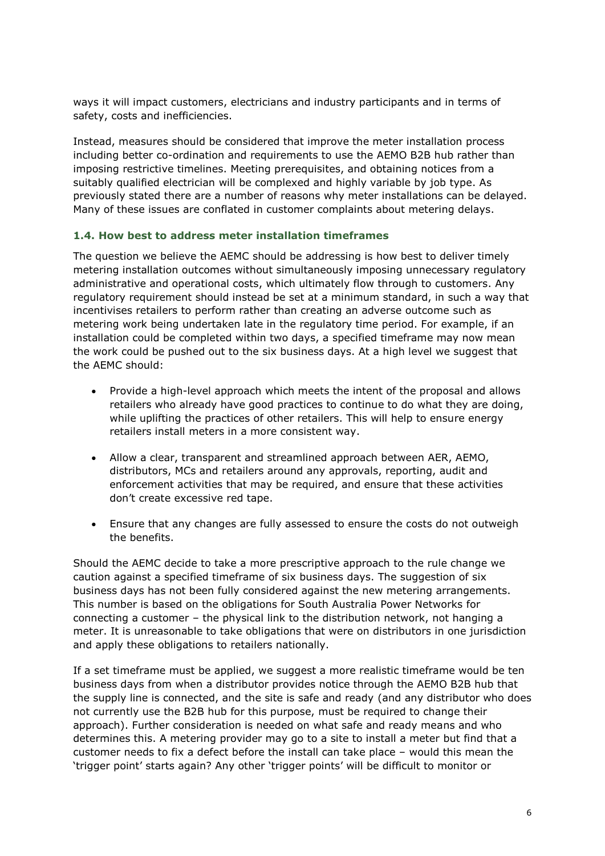ways it will impact customers, electricians and industry participants and in terms of safety, costs and inefficiencies.

Instead, measures should be considered that improve the meter installation process including better co-ordination and requirements to use the AEMO B2B hub rather than imposing restrictive timelines. Meeting prerequisites, and obtaining notices from a suitably qualified electrician will be complexed and highly variable by job type. As previously stated there are a number of reasons why meter installations can be delayed. Many of these issues are conflated in customer complaints about metering delays.

## **1.4. How best to address meter installation timeframes**

The question we believe the AEMC should be addressing is how best to deliver timely metering installation outcomes without simultaneously imposing unnecessary regulatory administrative and operational costs, which ultimately flow through to customers. Any regulatory requirement should instead be set at a minimum standard, in such a way that incentivises retailers to perform rather than creating an adverse outcome such as metering work being undertaken late in the regulatory time period. For example, if an installation could be completed within two days, a specified timeframe may now mean the work could be pushed out to the six business days. At a high level we suggest that the AEMC should:

- Provide a high-level approach which meets the intent of the proposal and allows retailers who already have good practices to continue to do what they are doing, while uplifting the practices of other retailers. This will help to ensure energy retailers install meters in a more consistent way.
- Allow a clear, transparent and streamlined approach between AER, AEMO, distributors, MCs and retailers around any approvals, reporting, audit and enforcement activities that may be required, and ensure that these activities don't create excessive red tape.
- Ensure that any changes are fully assessed to ensure the costs do not outweigh the benefits.

Should the AEMC decide to take a more prescriptive approach to the rule change we caution against a specified timeframe of six business days. The suggestion of six business days has not been fully considered against the new metering arrangements. This number is based on the obligations for South Australia Power Networks for connecting a customer – the physical link to the distribution network, not hanging a meter. It is unreasonable to take obligations that were on distributors in one jurisdiction and apply these obligations to retailers nationally.

If a set timeframe must be applied, we suggest a more realistic timeframe would be ten business days from when a distributor provides notice through the AEMO B2B hub that the supply line is connected, and the site is safe and ready (and any distributor who does not currently use the B2B hub for this purpose, must be required to change their approach). Further consideration is needed on what safe and ready means and who determines this. A metering provider may go to a site to install a meter but find that a customer needs to fix a defect before the install can take place – would this mean the 'trigger point' starts again? Any other 'trigger points' will be difficult to monitor or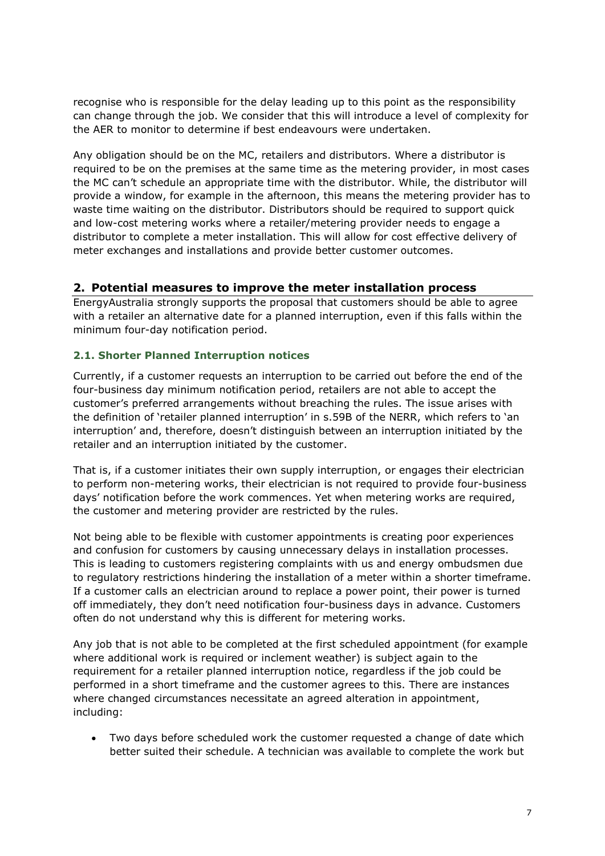recognise who is responsible for the delay leading up to this point as the responsibility can change through the job. We consider that this will introduce a level of complexity for the AER to monitor to determine if best endeavours were undertaken.

Any obligation should be on the MC, retailers and distributors. Where a distributor is required to be on the premises at the same time as the metering provider, in most cases the MC can't schedule an appropriate time with the distributor. While, the distributor will provide a window, for example in the afternoon, this means the metering provider has to waste time waiting on the distributor. Distributors should be required to support quick and low-cost metering works where a retailer/metering provider needs to engage a distributor to complete a meter installation. This will allow for cost effective delivery of meter exchanges and installations and provide better customer outcomes.

## **2. Potential measures to improve the meter installation process**

EnergyAustralia strongly supports the proposal that customers should be able to agree with a retailer an alternative date for a planned interruption, even if this falls within the minimum four-day notification period.

## **2.1. Shorter Planned Interruption notices**

Currently, if a customer requests an interruption to be carried out before the end of the four-business day minimum notification period, retailers are not able to accept the customer's preferred arrangements without breaching the rules. The issue arises with the definition of 'retailer planned interruption' in s.59B of the NERR, which refers to 'an interruption' and, therefore, doesn't distinguish between an interruption initiated by the retailer and an interruption initiated by the customer.

That is, if a customer initiates their own supply interruption, or engages their electrician to perform non-metering works, their electrician is not required to provide four-business days' notification before the work commences. Yet when metering works are required, the customer and metering provider are restricted by the rules.

Not being able to be flexible with customer appointments is creating poor experiences and confusion for customers by causing unnecessary delays in installation processes. This is leading to customers registering complaints with us and energy ombudsmen due to regulatory restrictions hindering the installation of a meter within a shorter timeframe. If a customer calls an electrician around to replace a power point, their power is turned off immediately, they don't need notification four-business days in advance. Customers often do not understand why this is different for metering works.

Any job that is not able to be completed at the first scheduled appointment (for example where additional work is required or inclement weather) is subject again to the requirement for a retailer planned interruption notice, regardless if the job could be performed in a short timeframe and the customer agrees to this. There are instances where changed circumstances necessitate an agreed alteration in appointment, including:

• Two days before scheduled work the customer requested a change of date which better suited their schedule. A technician was available to complete the work but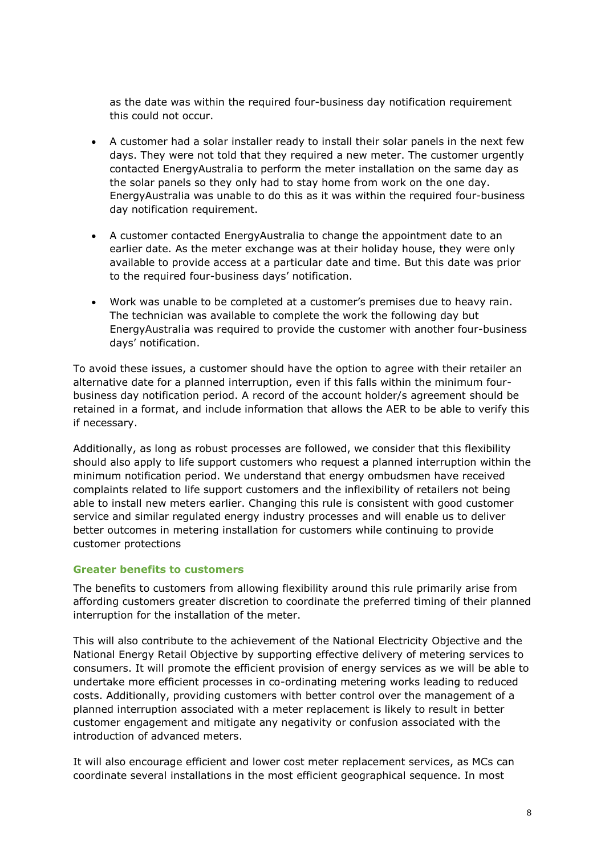as the date was within the required four-business day notification requirement this could not occur.

- A customer had a solar installer ready to install their solar panels in the next few days. They were not told that they required a new meter. The customer urgently contacted EnergyAustralia to perform the meter installation on the same day as the solar panels so they only had to stay home from work on the one day. EnergyAustralia was unable to do this as it was within the required four-business day notification requirement.
- A customer contacted EnergyAustralia to change the appointment date to an earlier date. As the meter exchange was at their holiday house, they were only available to provide access at a particular date and time. But this date was prior to the required four-business days' notification.
- Work was unable to be completed at a customer's premises due to heavy rain. The technician was available to complete the work the following day but EnergyAustralia was required to provide the customer with another four-business days' notification.

To avoid these issues, a customer should have the option to agree with their retailer an alternative date for a planned interruption, even if this falls within the minimum fourbusiness day notification period. A record of the account holder/s agreement should be retained in a format, and include information that allows the AER to be able to verify this if necessary.

Additionally, as long as robust processes are followed, we consider that this flexibility should also apply to life support customers who request a planned interruption within the minimum notification period. We understand that energy ombudsmen have received complaints related to life support customers and the inflexibility of retailers not being able to install new meters earlier. Changing this rule is consistent with good customer service and similar regulated energy industry processes and will enable us to deliver better outcomes in metering installation for customers while continuing to provide customer protections

#### **Greater benefits to customers**

The benefits to customers from allowing flexibility around this rule primarily arise from affording customers greater discretion to coordinate the preferred timing of their planned interruption for the installation of the meter.

This will also contribute to the achievement of the National Electricity Objective and the National Energy Retail Objective by supporting effective delivery of metering services to consumers. It will promote the efficient provision of energy services as we will be able to undertake more efficient processes in co-ordinating metering works leading to reduced costs. Additionally, providing customers with better control over the management of a planned interruption associated with a meter replacement is likely to result in better customer engagement and mitigate any negativity or confusion associated with the introduction of advanced meters.

It will also encourage efficient and lower cost meter replacement services, as MCs can coordinate several installations in the most efficient geographical sequence. In most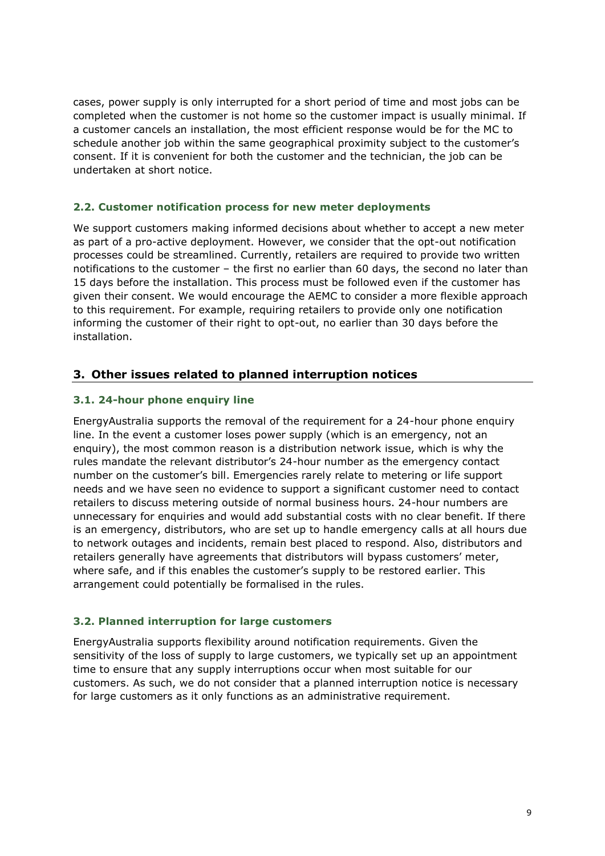cases, power supply is only interrupted for a short period of time and most jobs can be completed when the customer is not home so the customer impact is usually minimal. If a customer cancels an installation, the most efficient response would be for the MC to schedule another job within the same geographical proximity subject to the customer's consent. If it is convenient for both the customer and the technician, the job can be undertaken at short notice.

## **2.2. Customer notification process for new meter deployments**

We support customers making informed decisions about whether to accept a new meter as part of a pro-active deployment. However, we consider that the opt-out notification processes could be streamlined. Currently, retailers are required to provide two written notifications to the customer – the first no earlier than 60 days, the second no later than 15 days before the installation. This process must be followed even if the customer has given their consent. We would encourage the AEMC to consider a more flexible approach to this requirement. For example, requiring retailers to provide only one notification informing the customer of their right to opt-out, no earlier than 30 days before the installation.

## **3. Other issues related to planned interruption notices**

## **3.1. 24-hour phone enquiry line**

EnergyAustralia supports the removal of the requirement for a 24-hour phone enquiry line. In the event a customer loses power supply (which is an emergency, not an enquiry), the most common reason is a distribution network issue, which is why the rules mandate the relevant distributor's 24-hour number as the emergency contact number on the customer's bill. Emergencies rarely relate to metering or life support needs and we have seen no evidence to support a significant customer need to contact retailers to discuss metering outside of normal business hours. 24-hour numbers are unnecessary for enquiries and would add substantial costs with no clear benefit. If there is an emergency, distributors, who are set up to handle emergency calls at all hours due to network outages and incidents, remain best placed to respond. Also, distributors and retailers generally have agreements that distributors will bypass customers' meter, where safe, and if this enables the customer's supply to be restored earlier. This arrangement could potentially be formalised in the rules.

## **3.2. Planned interruption for large customers**

EnergyAustralia supports flexibility around notification requirements. Given the sensitivity of the loss of supply to large customers, we typically set up an appointment time to ensure that any supply interruptions occur when most suitable for our customers. As such, we do not consider that a planned interruption notice is necessary for large customers as it only functions as an administrative requirement.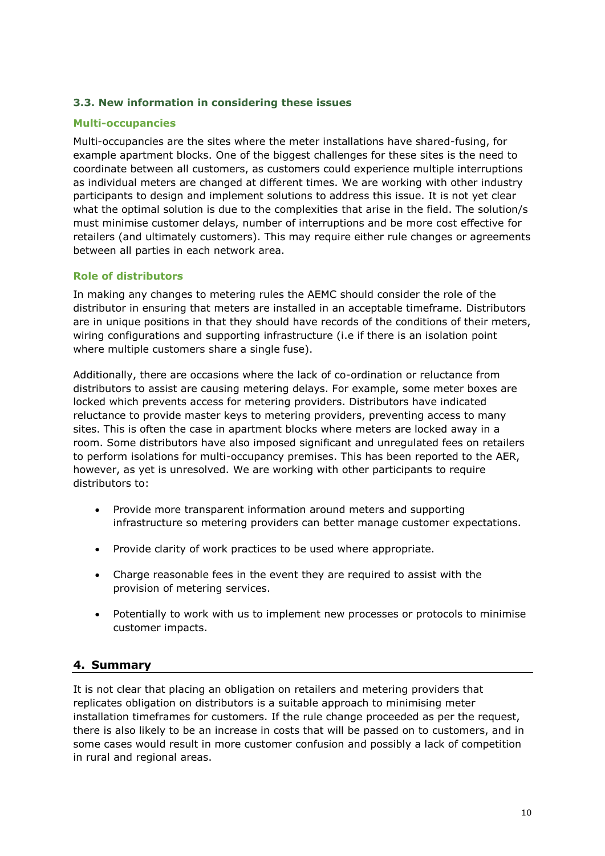## **3.3. New information in considering these issues**

#### **Multi-occupancies**

Multi-occupancies are the sites where the meter installations have shared-fusing, for example apartment blocks. One of the biggest challenges for these sites is the need to coordinate between all customers, as customers could experience multiple interruptions as individual meters are changed at different times. We are working with other industry participants to design and implement solutions to address this issue. It is not yet clear what the optimal solution is due to the complexities that arise in the field. The solution/s must minimise customer delays, number of interruptions and be more cost effective for retailers (and ultimately customers). This may require either rule changes or agreements between all parties in each network area.

## **Role of distributors**

In making any changes to metering rules the AEMC should consider the role of the distributor in ensuring that meters are installed in an acceptable timeframe. Distributors are in unique positions in that they should have records of the conditions of their meters, wiring configurations and supporting infrastructure (i.e if there is an isolation point where multiple customers share a single fuse).

Additionally, there are occasions where the lack of co-ordination or reluctance from distributors to assist are causing metering delays. For example, some meter boxes are locked which prevents access for metering providers. Distributors have indicated reluctance to provide master keys to metering providers, preventing access to many sites. This is often the case in apartment blocks where meters are locked away in a room. Some distributors have also imposed significant and unregulated fees on retailers to perform isolations for multi-occupancy premises. This has been reported to the AER, however, as yet is unresolved. We are working with other participants to require distributors to:

- Provide more transparent information around meters and supporting infrastructure so metering providers can better manage customer expectations.
- Provide clarity of work practices to be used where appropriate.
- Charge reasonable fees in the event they are required to assist with the provision of metering services.
- Potentially to work with us to implement new processes or protocols to minimise customer impacts.

## **4. Summary**

It is not clear that placing an obligation on retailers and metering providers that replicates obligation on distributors is a suitable approach to minimising meter installation timeframes for customers. If the rule change proceeded as per the request, there is also likely to be an increase in costs that will be passed on to customers, and in some cases would result in more customer confusion and possibly a lack of competition in rural and regional areas.